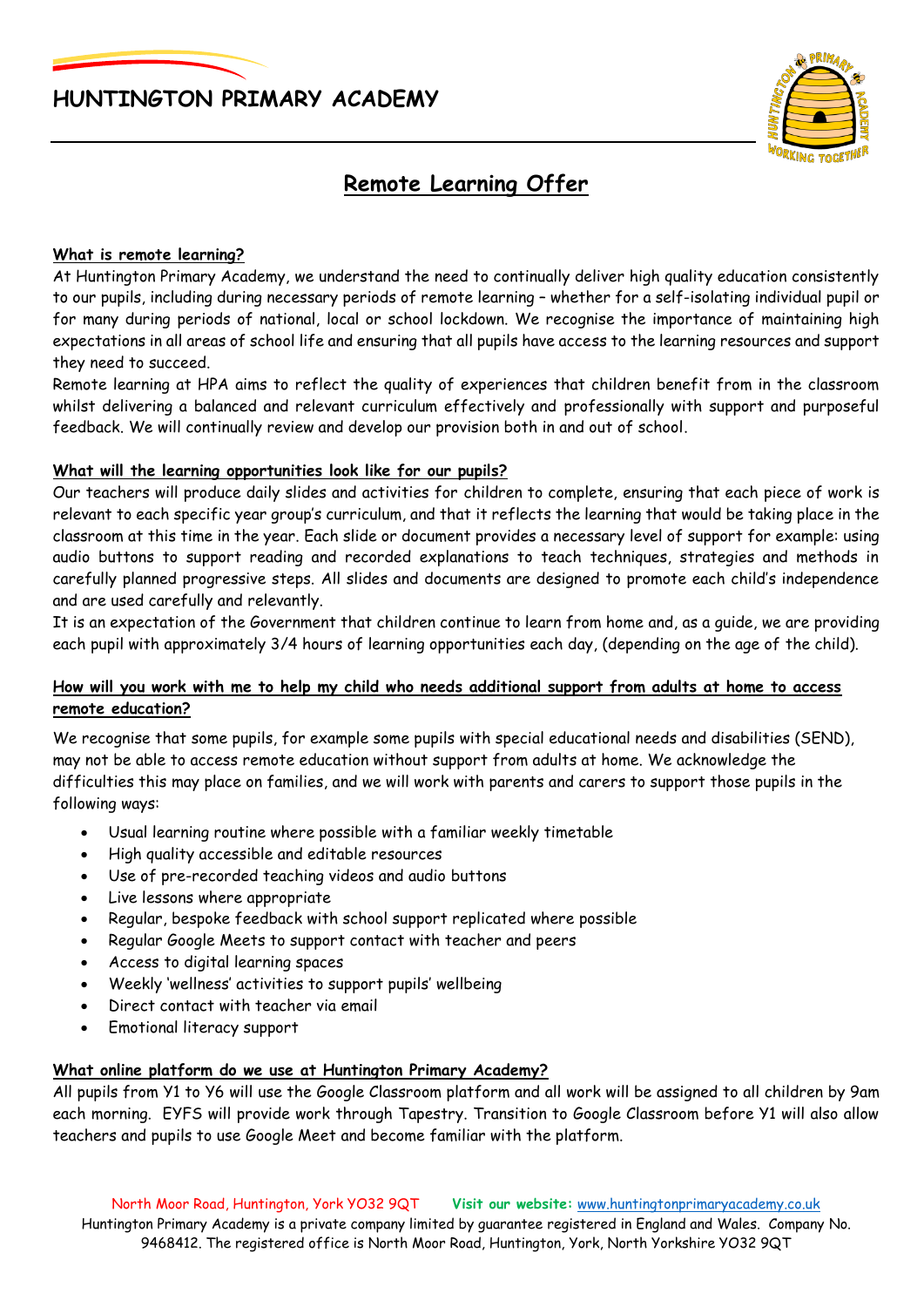



# **Remote Learning Offer**

## **What is remote learning?**

At Huntington Primary Academy, we understand the need to continually deliver high quality education consistently to our pupils, including during necessary periods of remote learning – whether for a self-isolating individual pupil or for many during periods of national, local or school lockdown. We recognise the importance of maintaining high expectations in all areas of school life and ensuring that all pupils have access to the learning resources and support they need to succeed.

Remote learning at HPA aims to reflect the quality of experiences that children benefit from in the classroom whilst delivering a balanced and relevant curriculum effectively and professionally with support and purposeful feedback. We will continually review and develop our provision both in and out of school.

## **What will the learning opportunities look like for our pupils?**

Our teachers will produce daily slides and activities for children to complete, ensuring that each piece of work is relevant to each specific year group's curriculum, and that it reflects the learning that would be taking place in the classroom at this time in the year. Each slide or document provides a necessary level of support for example: using audio buttons to support reading and recorded explanations to teach techniques, strategies and methods in carefully planned progressive steps. All slides and documents are designed to promote each child's independence and are used carefully and relevantly.

It is an expectation of the Government that children continue to learn from home and, as a guide, we are providing each pupil with approximately 3/4 hours of learning opportunities each day, (depending on the age of the child).

## **How will you work with me to help my child who needs additional support from adults at home to access remote education?**

We recognise that some pupils, for example some pupils with special educational needs and disabilities (SEND), may not be able to access remote education without support from adults at home. We acknowledge the difficulties this may place on families, and we will work with parents and carers to support those pupils in the following ways:

- Usual learning routine where possible with a familiar weekly timetable
- High quality accessible and editable resources
- Use of pre-recorded teaching videos and audio buttons
- Live lessons where appropriate
- Regular, bespoke feedback with school support replicated where possible
- Regular Google Meets to support contact with teacher and peers
- Access to digital learning spaces
- Weekly 'wellness' activities to support pupils' wellbeing
- Direct contact with teacher via email
- Emotional literacy support

#### **What online platform do we use at Huntington Primary Academy?**

All pupils from Y1 to Y6 will use the Google Classroom platform and all work will be assigned to all children by 9am each morning. EYFS will provide work through Tapestry. Transition to Google Classroom before Y1 will also allow teachers and pupils to use Google Meet and become familiar with the platform.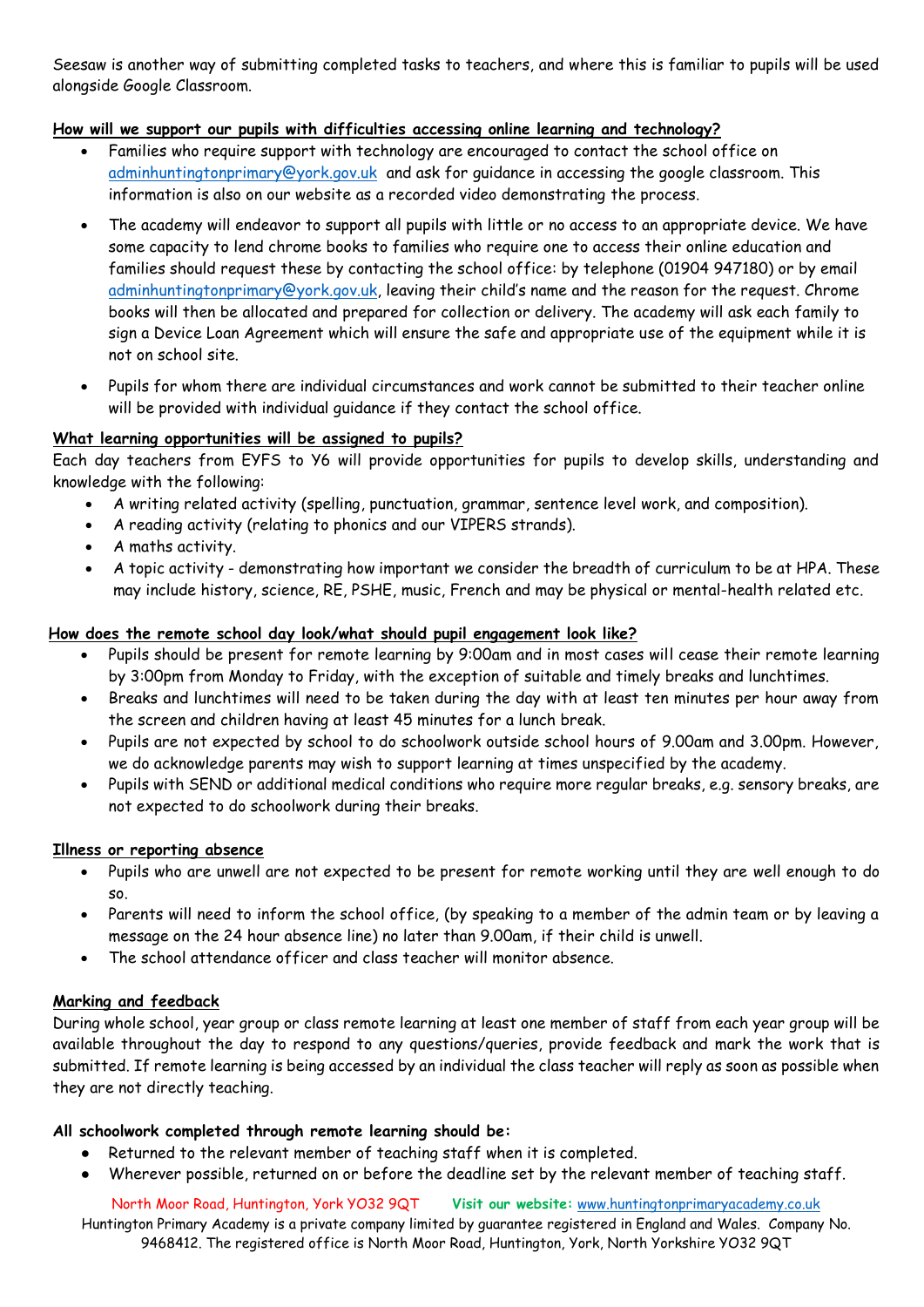Seesaw is another way of submitting completed tasks to teachers, and where this is familiar to pupils will be used alongside Google Classroom.

## **How will we support our pupils with difficulties accessing online learning and technology?**

- Families who require support with technology are encouraged to contact the school office on [adminhuntingtonprimary@york.gov.uk](mailto:adminhuntingtonprimary@york.gov.uk) and ask for guidance in accessing the google classroom. This information is also on our website as a recorded video demonstrating the process.
- The academy will endeavor to support all pupils with little or no access to an appropriate device. We have some capacity to lend chrome books to families who require one to access their online education and families should request these by contacting the school office: by telephone (01904 947180) or by email [adminhuntingtonprimary@york.gov.uk,](mailto:adminhuntingtonprimary@york.gov.uk) leaving their child's name and the reason for the request. Chrome books will then be allocated and prepared for collection or delivery. The academy will ask each family to sign a Device Loan Agreement which will ensure the safe and appropriate use of the equipment while it is not on school site.
- Pupils for whom there are individual circumstances and work cannot be submitted to their teacher online will be provided with individual guidance if they contact the school office.

## **What learning opportunities will be assigned to pupils?**

Each day teachers from EYFS to Y6 will provide opportunities for pupils to develop skills, understanding and knowledge with the following:

- A writing related activity (spelling, punctuation, grammar, sentence level work, and composition).
- A reading activity (relating to phonics and our VIPERS strands).
- A maths activity.
- A topic activity demonstrating how important we consider the breadth of curriculum to be at HPA. These may include history, science, RE, PSHE, music, French and may be physical or mental-health related etc.

## **How does the remote school day look/what should pupil engagement look like?**

- Pupils should be present for remote learning by 9:00am and in most cases will cease their remote learning by 3:00pm from Monday to Friday, with the exception of suitable and timely breaks and lunchtimes.
- Breaks and lunchtimes will need to be taken during the day with at least ten minutes per hour away from the screen and children having at least 45 minutes for a lunch break.
- Pupils are not expected by school to do schoolwork outside school hours of 9.00am and 3.00pm. However, we do acknowledge parents may wish to support learning at times unspecified by the academy.
- Pupils with SEND or additional medical conditions who require more regular breaks, e.g. sensory breaks, are not expected to do schoolwork during their breaks.

#### **Illness or reporting absence**

- Pupils who are unwell are not expected to be present for remote working until they are well enough to do so.
- Parents will need to inform the school office, (by speaking to a member of the admin team or by leaving a message on the 24 hour absence line) no later than 9.00am, if their child is unwell.
- The school attendance officer and class teacher will monitor absence.

# **Marking and feedback**

During whole school, year group or class remote learning at least one member of staff from each year group will be available throughout the day to respond to any questions/queries, provide feedback and mark the work that is submitted. If remote learning is being accessed by an individual the class teacher will reply as soon as possible when they are not directly teaching.

#### **All schoolwork completed through remote learning should be:**

- Returned to the relevant member of teaching staff when it is completed.
- Wherever possible, returned on or before the deadline set by the relevant member of teaching staff.

North Moor Road, Huntington, York YO32 9QT **Visit our website:** [www.huntingtonprimaryacademy.co.uk](http://www.huntingtonprimaryacademy.co.uk/) Huntington Primary Academy is a private company limited by guarantee registered in England and Wales. Company No. 9468412. The registered office is North Moor Road, Huntington, York, North Yorkshire YO32 9QT